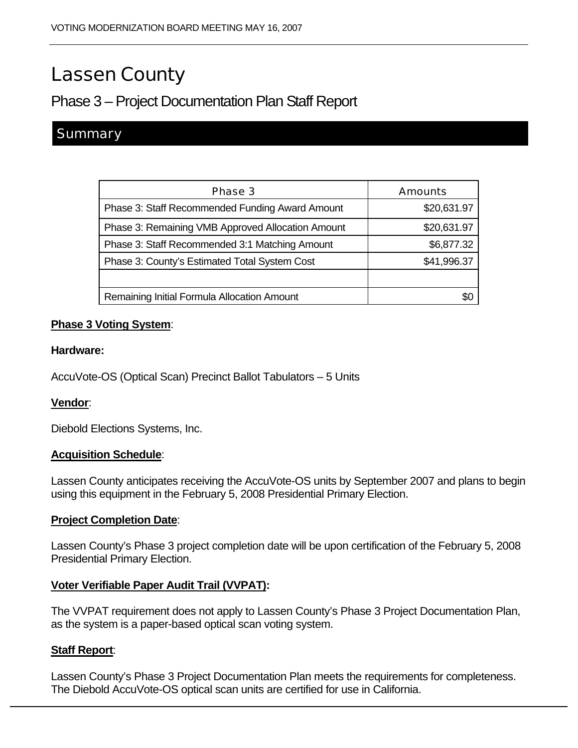# Lassen County

## Phase 3 – Project Documentation Plan Staff Report

### **Summary**

| Phase 3                                           | <b>Amounts</b> |
|---------------------------------------------------|----------------|
| Phase 3: Staff Recommended Funding Award Amount   | \$20,631.97    |
| Phase 3: Remaining VMB Approved Allocation Amount | \$20,631.97    |
| Phase 3: Staff Recommended 3:1 Matching Amount    | \$6,877.32     |
| Phase 3: County's Estimated Total System Cost     | \$41,996.37    |
|                                                   |                |
| Remaining Initial Formula Allocation Amount       |                |

#### **Phase 3 Voting System**:

#### **Hardware:**

AccuVote-OS (Optical Scan) Precinct Ballot Tabulators – 5 Units

#### **Vendor**:

Diebold Elections Systems, Inc.

#### **Acquisition Schedule**:

Lassen County anticipates receiving the AccuVote-OS units by September 2007 and plans to begin using this equipment in the February 5, 2008 Presidential Primary Election.

#### **Project Completion Date**:

Lassen County's Phase 3 project completion date will be upon certification of the February 5, 2008 Presidential Primary Election.

#### **Voter Verifiable Paper Audit Trail (VVPAT):**

The VVPAT requirement does not apply to Lassen County's Phase 3 Project Documentation Plan, as the system is a paper-based optical scan voting system.

#### **Staff Report**:

Lassen County's Phase 3 Project Documentation Plan meets the requirements for completeness. The Diebold AccuVote-OS optical scan units are certified for use in California.